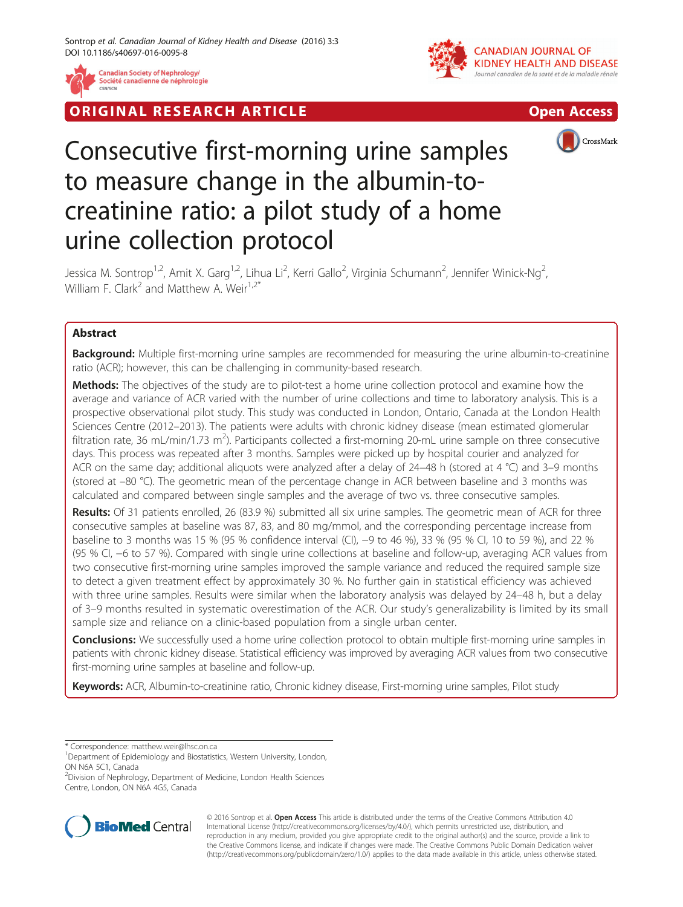

Société canadienne de néphrologie







# Consecutive first-morning urine samples to measure change in the albumin-tocreatinine ratio: a pilot study of a home urine collection protocol

Jessica M. Sontrop<sup>1,2</sup>, Amit X. Garg<sup>1,2</sup>, Lihua Li<sup>2</sup>, Kerri Gallo<sup>2</sup>, Virginia Schumann<sup>2</sup>, Jennifer Winick-Ng<sup>2</sup> , William F. Clark<sup>2</sup> and Matthew A. Weir<sup>1,2\*</sup>

# Abstract

**Background:** Multiple first-morning urine samples are recommended for measuring the urine albumin-to-creatinine ratio (ACR); however, this can be challenging in community-based research.

Methods: The objectives of the study are to pilot-test a home urine collection protocol and examine how the average and variance of ACR varied with the number of urine collections and time to laboratory analysis. This is a prospective observational pilot study. This study was conducted in London, Ontario, Canada at the London Health Sciences Centre (2012–2013). The patients were adults with chronic kidney disease (mean estimated glomerular filtration rate, 36 mL/min/1.73 m<sup>2</sup>). Participants collected a first-morning 20-mL urine sample on three consecutive days. This process was repeated after 3 months. Samples were picked up by hospital courier and analyzed for ACR on the same day; additional aliquots were analyzed after a delay of 24–48 h (stored at 4 °C) and 3–9 months (stored at –80 °C). The geometric mean of the percentage change in ACR between baseline and 3 months was calculated and compared between single samples and the average of two vs. three consecutive samples.

Results: Of 31 patients enrolled, 26 (83.9 %) submitted all six urine samples. The geometric mean of ACR for three consecutive samples at baseline was 87, 83, and 80 mg/mmol, and the corresponding percentage increase from baseline to 3 months was 15 % (95 % confidence interval (CI), −9 to 46 %), 33 % (95 % CI, 10 to 59 %), and 22 % (95 % CI, −6 to 57 %). Compared with single urine collections at baseline and follow-up, averaging ACR values from two consecutive first-morning urine samples improved the sample variance and reduced the required sample size to detect a given treatment effect by approximately 30 %. No further gain in statistical efficiency was achieved with three urine samples. Results were similar when the laboratory analysis was delayed by 24–48 h, but a delay of 3–9 months resulted in systematic overestimation of the ACR. Our study's generalizability is limited by its small sample size and reliance on a clinic-based population from a single urban center.

**Conclusions:** We successfully used a home urine collection protocol to obtain multiple first-morning urine samples in patients with chronic kidney disease. Statistical efficiency was improved by averaging ACR values from two consecutive first-morning urine samples at baseline and follow-up.

Keywords: ACR, Albumin-to-creatinine ratio, Chronic kidney disease, First-morning urine samples, Pilot study

<sup>2</sup>Division of Nephrology, Department of Medicine, London Health Sciences Centre, London, ON N6A 4G5, Canada



© 2016 Sontrop et al. Open Access This article is distributed under the terms of the Creative Commons Attribution 4.0 International License [\(http://creativecommons.org/licenses/by/4.0/](http://creativecommons.org/licenses/by/4.0/)), which permits unrestricted use, distribution, and reproduction in any medium, provided you give appropriate credit to the original author(s) and the source, provide a link to the Creative Commons license, and indicate if changes were made. The Creative Commons Public Domain Dedication waiver [\(http://creativecommons.org/publicdomain/zero/1.0/](http://creativecommons.org/publicdomain/zero/1.0/)) applies to the data made available in this article, unless otherwise stated.

<sup>\*</sup> Correspondence: [matthew.weir@lhsc.on.ca](mailto:matthew.weir@lhsc.on.ca) <sup>1</sup>

<sup>&</sup>lt;sup>1</sup>Department of Epidemiology and Biostatistics, Western University, London, ON N6A 5C1, Canada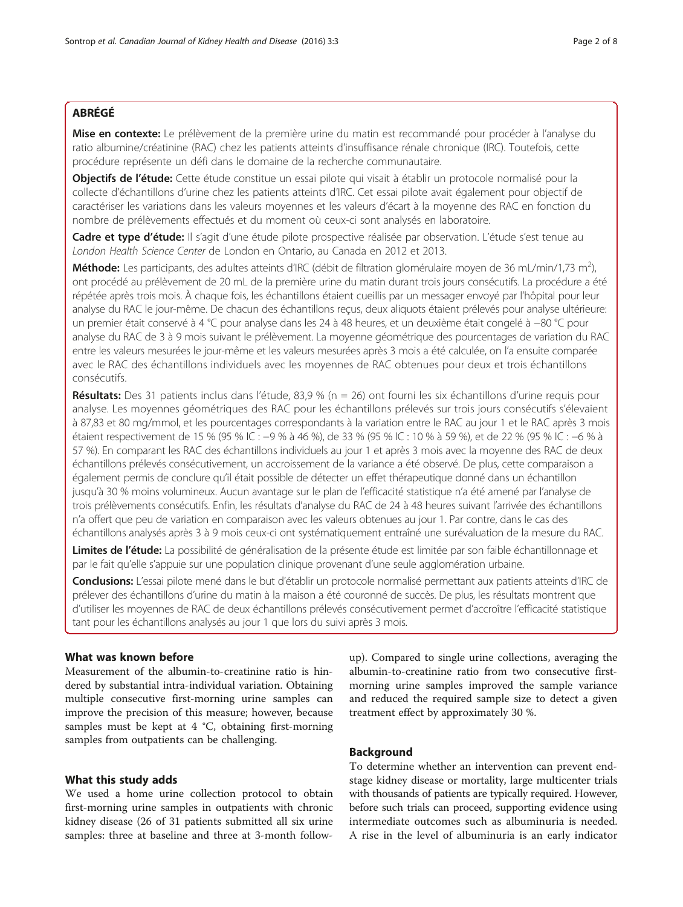# ABRÉGÉ

Mise en contexte: Le prélèvement de la première urine du matin est recommandé pour procéder à l'analyse du ratio albumine/créatinine (RAC) chez les patients atteints d'insuffisance rénale chronique (IRC). Toutefois, cette procédure représente un défi dans le domaine de la recherche communautaire.

Objectifs de l'étude: Cette étude constitue un essai pilote qui visait à établir un protocole normalisé pour la collecte d'échantillons d'urine chez les patients atteints d'IRC. Cet essai pilote avait également pour objectif de caractériser les variations dans les valeurs moyennes et les valeurs d'écart à la moyenne des RAC en fonction du nombre de prélèvements effectués et du moment où ceux-ci sont analysés en laboratoire.

Cadre et type d'étude: Il s'agit d'une étude pilote prospective réalisée par observation. L'étude s'est tenue au London Health Science Center de London en Ontario, au Canada en 2012 et 2013.

Méthode: Les participants, des adultes atteints d'IRC (débit de filtration glomérulaire moyen de 36 mL/min/1,73 m<sup>2</sup>), ont procédé au prélèvement de 20 mL de la première urine du matin durant trois jours consécutifs. La procédure a été répétée après trois mois. À chaque fois, les échantillons étaient cueillis par un messager envoyé par l'hôpital pour leur analyse du RAC le jour-même. De chacun des échantillons reçus, deux aliquots étaient prélevés pour analyse ultérieure: un premier était conservé à 4 °C pour analyse dans les 24 à 48 heures, et un deuxième était congelé à −80 °C pour analyse du RAC de 3 à 9 mois suivant le prélèvement. La moyenne géométrique des pourcentages de variation du RAC entre les valeurs mesurées le jour-même et les valeurs mesurées après 3 mois a été calculée, on l'a ensuite comparée avec le RAC des échantillons individuels avec les moyennes de RAC obtenues pour deux et trois échantillons consécutifs.

Résultats: Des 31 patients inclus dans l'étude, 83,9 % (n = 26) ont fourni les six échantillons d'urine requis pour analyse. Les moyennes géométriques des RAC pour les échantillons prélevés sur trois jours consécutifs s'élevaient à 87,83 et 80 mg/mmol, et les pourcentages correspondants à la variation entre le RAC au jour 1 et le RAC après 3 mois étaient respectivement de 15 % (95 % IC : −9 % à 46 %), de 33 % (95 % IC : 10 % à 59 %), et de 22 % (95 % IC : −6%à 57 %). En comparant les RAC des échantillons individuels au jour 1 et après 3 mois avec la moyenne des RAC de deux échantillons prélevés consécutivement, un accroissement de la variance a été observé. De plus, cette comparaison a également permis de conclure qu'il était possible de détecter un effet thérapeutique donné dans un échantillon jusqu'à 30 % moins volumineux. Aucun avantage sur le plan de l'efficacité statistique n'a été amené par l'analyse de trois prélèvements consécutifs. Enfin, les résultats d'analyse du RAC de 24 à 48 heures suivant l'arrivée des échantillons n'a offert que peu de variation en comparaison avec les valeurs obtenues au jour 1. Par contre, dans le cas des échantillons analysés après 3 à 9 mois ceux-ci ont systématiquement entraîné une surévaluation de la mesure du RAC.

Limites de l'étude: La possibilité de généralisation de la présente étude est limitée par son faible échantillonnage et par le fait qu'elle s'appuie sur une population clinique provenant d'une seule agglomération urbaine.

Conclusions: L'essai pilote mené dans le but d'établir un protocole normalisé permettant aux patients atteints d'IRC de prélever des échantillons d'urine du matin à la maison a été couronné de succès. De plus, les résultats montrent que d'utiliser les moyennes de RAC de deux échantillons prélevés consécutivement permet d'accroître l'efficacité statistique tant pour les échantillons analysés au jour 1 que lors du suivi après 3 mois.

## What was known before

Measurement of the albumin-to-creatinine ratio is hindered by substantial intra-individual variation. Obtaining multiple consecutive first-morning urine samples can improve the precision of this measure; however, because samples must be kept at 4 °C, obtaining first-morning samples from outpatients can be challenging.

## What this study adds

We used a home urine collection protocol to obtain first-morning urine samples in outpatients with chronic kidney disease (26 of 31 patients submitted all six urine samples: three at baseline and three at 3-month follow-

up). Compared to single urine collections, averaging the albumin-to-creatinine ratio from two consecutive firstmorning urine samples improved the sample variance and reduced the required sample size to detect a given treatment effect by approximately 30 %.

## Background

To determine whether an intervention can prevent endstage kidney disease or mortality, large multicenter trials with thousands of patients are typically required. However, before such trials can proceed, supporting evidence using intermediate outcomes such as albuminuria is needed. A rise in the level of albuminuria is an early indicator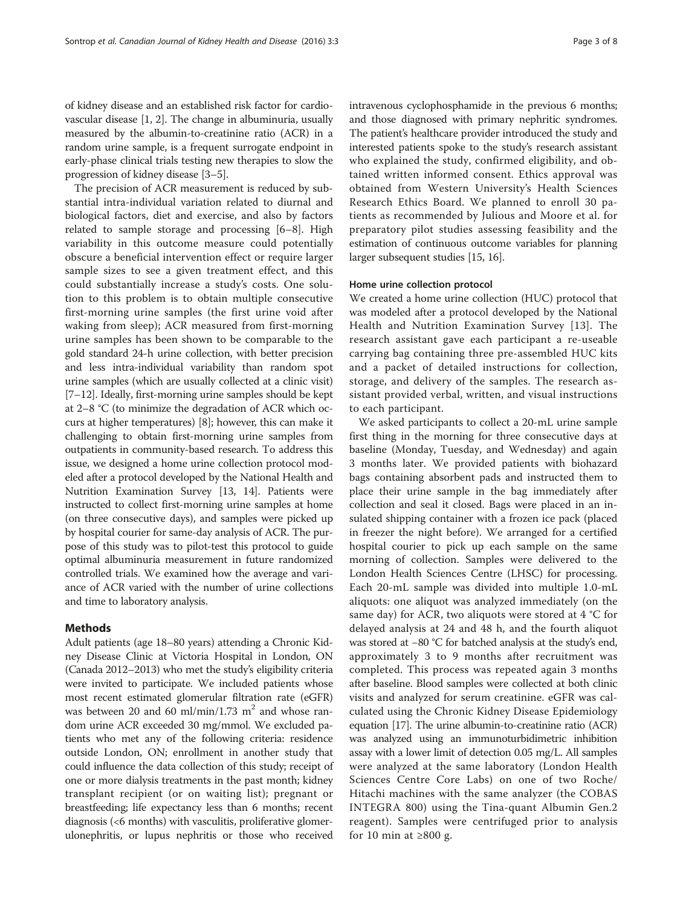of kidney disease and an established risk factor for cardiovascular disease [\[1, 2\]](#page-7-0). The change in albuminuria, usually measured by the albumin-to-creatinine ratio (ACR) in a random urine sample, is a frequent surrogate endpoint in early-phase clinical trials testing new therapies to slow the progression of kidney disease [[3](#page-7-0)–[5](#page-7-0)].

The precision of ACR measurement is reduced by substantial intra-individual variation related to diurnal and biological factors, diet and exercise, and also by factors related to sample storage and processing [[6](#page-7-0)–[8\]](#page-7-0). High variability in this outcome measure could potentially obscure a beneficial intervention effect or require larger sample sizes to see a given treatment effect, and this could substantially increase a study's costs. One solution to this problem is to obtain multiple consecutive first-morning urine samples (the first urine void after waking from sleep); ACR measured from first-morning urine samples has been shown to be comparable to the gold standard 24-h urine collection, with better precision and less intra-individual variability than random spot urine samples (which are usually collected at a clinic visit) [[7](#page-7-0)–[12\]](#page-7-0). Ideally, first-morning urine samples should be kept at 2–8 °C (to minimize the degradation of ACR which occurs at higher temperatures) [\[8](#page-7-0)]; however, this can make it challenging to obtain first-morning urine samples from outpatients in community-based research. To address this issue, we designed a home urine collection protocol modeled after a protocol developed by the National Health and Nutrition Examination Survey [\[13, 14\]](#page-7-0). Patients were instructed to collect first-morning urine samples at home (on three consecutive days), and samples were picked up by hospital courier for same-day analysis of ACR. The purpose of this study was to pilot-test this protocol to guide optimal albuminuria measurement in future randomized controlled trials. We examined how the average and variance of ACR varied with the number of urine collections and time to laboratory analysis.

#### Methods

Adult patients (age 18–80 years) attending a Chronic Kidney Disease Clinic at Victoria Hospital in London, ON (Canada 2012–2013) who met the study's eligibility criteria were invited to participate. We included patients whose most recent estimated glomerular filtration rate (eGFR) was between 20 and 60 ml/min/1.73  $m<sup>2</sup>$  and whose random urine ACR exceeded 30 mg/mmol. We excluded patients who met any of the following criteria: residence outside London, ON; enrollment in another study that could influence the data collection of this study; receipt of one or more dialysis treatments in the past month; kidney transplant recipient (or on waiting list); pregnant or breastfeeding; life expectancy less than 6 months; recent diagnosis (<6 months) with vasculitis, proliferative glomerulonephritis, or lupus nephritis or those who received intravenous cyclophosphamide in the previous 6 months; and those diagnosed with primary nephritic syndromes. The patient's healthcare provider introduced the study and interested patients spoke to the study's research assistant who explained the study, confirmed eligibility, and obtained written informed consent. Ethics approval was obtained from Western University's Health Sciences Research Ethics Board. We planned to enroll 30 patients as recommended by Julious and Moore et al. for preparatory pilot studies assessing feasibility and the estimation of continuous outcome variables for planning larger subsequent studies [\[15, 16](#page-7-0)].

### Home urine collection protocol

We created a home urine collection (HUC) protocol that was modeled after a protocol developed by the National Health and Nutrition Examination Survey [[13](#page-7-0)]. The research assistant gave each participant a re-useable carrying bag containing three pre-assembled HUC kits and a packet of detailed instructions for collection, storage, and delivery of the samples. The research assistant provided verbal, written, and visual instructions to each participant.

We asked participants to collect a 20-mL urine sample first thing in the morning for three consecutive days at baseline (Monday, Tuesday, and Wednesday) and again 3 months later. We provided patients with biohazard bags containing absorbent pads and instructed them to place their urine sample in the bag immediately after collection and seal it closed. Bags were placed in an insulated shipping container with a frozen ice pack (placed in freezer the night before). We arranged for a certified hospital courier to pick up each sample on the same morning of collection. Samples were delivered to the London Health Sciences Centre (LHSC) for processing. Each 20-mL sample was divided into multiple 1.0-mL aliquots: one aliquot was analyzed immediately (on the same day) for ACR, two aliquots were stored at 4 °C for delayed analysis at 24 and 48 h, and the fourth aliquot was stored at −80 °C for batched analysis at the study's end, approximately 3 to 9 months after recruitment was completed. This process was repeated again 3 months after baseline. Blood samples were collected at both clinic visits and analyzed for serum creatinine. eGFR was calculated using the Chronic Kidney Disease Epidemiology equation [[17](#page-7-0)]. The urine albumin-to-creatinine ratio (ACR) was analyzed using an immunoturbidimetric inhibition assay with a lower limit of detection 0.05 mg/L. All samples were analyzed at the same laboratory (London Health Sciences Centre Core Labs) on one of two Roche/ Hitachi machines with the same analyzer (the COBAS INTEGRA 800) using the Tina-quant Albumin Gen.2 reagent). Samples were centrifuged prior to analysis for 10 min at  $\geq 800$  g.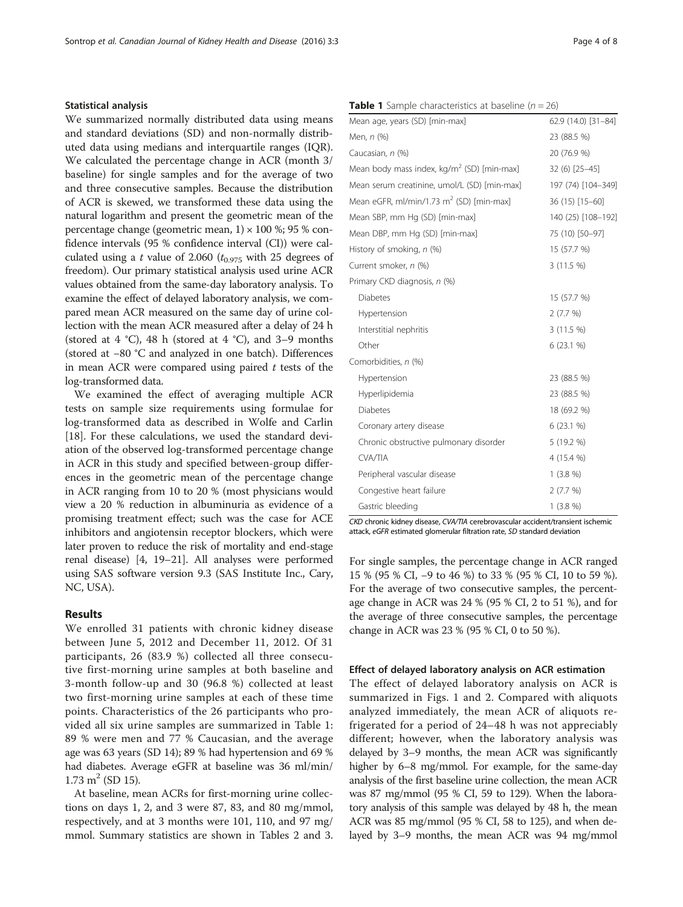#### Statistical analysis

We summarized normally distributed data using means and standard deviations (SD) and non-normally distributed data using medians and interquartile ranges (IQR). We calculated the percentage change in ACR (month 3/ baseline) for single samples and for the average of two and three consecutive samples. Because the distribution of ACR is skewed, we transformed these data using the natural logarithm and present the geometric mean of the percentage change (geometric mean,  $1 \times 100$  %; 95 % confidence intervals (95 % confidence interval (CI)) were calculated using a t value of 2.060 ( $t_{0.975}$  with 25 degrees of freedom). Our primary statistical analysis used urine ACR values obtained from the same-day laboratory analysis. To examine the effect of delayed laboratory analysis, we compared mean ACR measured on the same day of urine collection with the mean ACR measured after a delay of 24 h (stored at 4 °C), 48 h (stored at 4 °C), and 3–9 months (stored at −80 °C and analyzed in one batch). Differences in mean ACR were compared using paired  $t$  tests of the log-transformed data.

We examined the effect of averaging multiple ACR tests on sample size requirements using formulae for log-transformed data as described in Wolfe and Carlin [[18\]](#page-7-0). For these calculations, we used the standard deviation of the observed log-transformed percentage change in ACR in this study and specified between-group differences in the geometric mean of the percentage change in ACR ranging from 10 to 20 % (most physicians would view a 20 % reduction in albuminuria as evidence of a promising treatment effect; such was the case for ACE inhibitors and angiotensin receptor blockers, which were later proven to reduce the risk of mortality and end-stage renal disease) [[4](#page-7-0), [19](#page-7-0)–[21\]](#page-7-0). All analyses were performed using SAS software version 9.3 (SAS Institute Inc., Cary, NC, USA).

## Results

We enrolled 31 patients with chronic kidney disease between June 5, 2012 and December 11, 2012. Of 31 participants, 26 (83.9 %) collected all three consecutive first-morning urine samples at both baseline and 3-month follow-up and 30 (96.8 %) collected at least two first-morning urine samples at each of these time points. Characteristics of the 26 participants who provided all six urine samples are summarized in Table 1: 89 % were men and 77 % Caucasian, and the average age was 63 years (SD 14); 89 % had hypertension and 69 % had diabetes. Average eGFR at baseline was 36 ml/min/  $1.73 \text{ m}^2 \text{ (SD 15)}$ .

At baseline, mean ACRs for first-morning urine collections on days 1, 2, and 3 were 87, 83, and 80 mg/mmol, respectively, and at 3 months were 101, 110, and 97 mg/ mmol. Summary statistics are shown in Tables [2](#page-4-0) and [3](#page-4-0).

| Mean age, years (SD) [min-max]                       | 62.9 (14.0) [31-84] |  |  |
|------------------------------------------------------|---------------------|--|--|
| Men, n (%)                                           | 23 (88.5 %)         |  |  |
| Caucasian, n (%)                                     | 20 (76.9 %)         |  |  |
| Mean body mass index, $kq/m^2$ (SD) [min-max]        | 32 (6) [25-45]      |  |  |
| Mean serum creatinine, umol/L (SD) [min-max]         | 197 (74) [104-349]  |  |  |
| Mean eGFR, ml/min/1.73 m <sup>2</sup> (SD) [min-max] | 36 (15) [15-60]     |  |  |
| Mean SBP, mm Hg (SD) [min-max]                       | 140 (25) [108-192]  |  |  |
| Mean DBP, mm Hg (SD) [min-max]                       | 75 (10) [50-97]     |  |  |
| History of smoking, n (%)                            | 15 (57.7 %)         |  |  |
| Current smoker, n (%)                                | 3 (11.5 %)          |  |  |
| Primary CKD diagnosis, n (%)                         |                     |  |  |
| <b>Diabetes</b>                                      | 15 (57.7 %)         |  |  |
| Hypertension                                         | $2(7.7\%)$          |  |  |
| Interstitial nephritis                               | 3 (11.5 %)          |  |  |
| Other                                                | 6(23.1%             |  |  |
| Comorbidities, n (%)                                 |                     |  |  |
| Hypertension                                         | 23 (88.5 %)         |  |  |
| Hyperlipidemia                                       | 23 (88.5 %)         |  |  |
| <b>Diabetes</b>                                      | 18 (69.2 %)         |  |  |
| Coronary artery disease                              | $6(23.1\%)$         |  |  |
| Chronic obstructive pulmonary disorder               | 5 (19.2 %)          |  |  |
| CVA/TIA                                              | 4 (15.4 %)          |  |  |
| Peripheral vascular disease                          | $1(3.8\%)$          |  |  |
| Congestive heart failure                             | 2(7.7%)             |  |  |
| Gastric bleeding                                     | $1(3.8\%)$          |  |  |

CKD chronic kidney disease, CVA/TIA cerebrovascular accident/transient ischemic attack, eGFR estimated glomerular filtration rate, SD standard deviation

For single samples, the percentage change in ACR ranged 15 % (95 % CI, −9 to 46 %) to 33 % (95 % CI, 10 to 59 %). For the average of two consecutive samples, the percentage change in ACR was 24 % (95 % CI, 2 to 51 %), and for the average of three consecutive samples, the percentage change in ACR was 23 % (95 % CI, 0 to 50 %).

#### Effect of delayed laboratory analysis on ACR estimation

The effect of delayed laboratory analysis on ACR is summarized in Figs. [1](#page-5-0) and [2.](#page-5-0) Compared with aliquots analyzed immediately, the mean ACR of aliquots refrigerated for a period of 24–48 h was not appreciably different; however, when the laboratory analysis was delayed by 3–9 months, the mean ACR was significantly higher by 6–8 mg/mmol. For example, for the same-day analysis of the first baseline urine collection, the mean ACR was 87 mg/mmol (95 % CI, 59 to 129). When the laboratory analysis of this sample was delayed by 48 h, the mean ACR was 85 mg/mmol (95 % CI, 58 to 125), and when delayed by 3–9 months, the mean ACR was 94 mg/mmol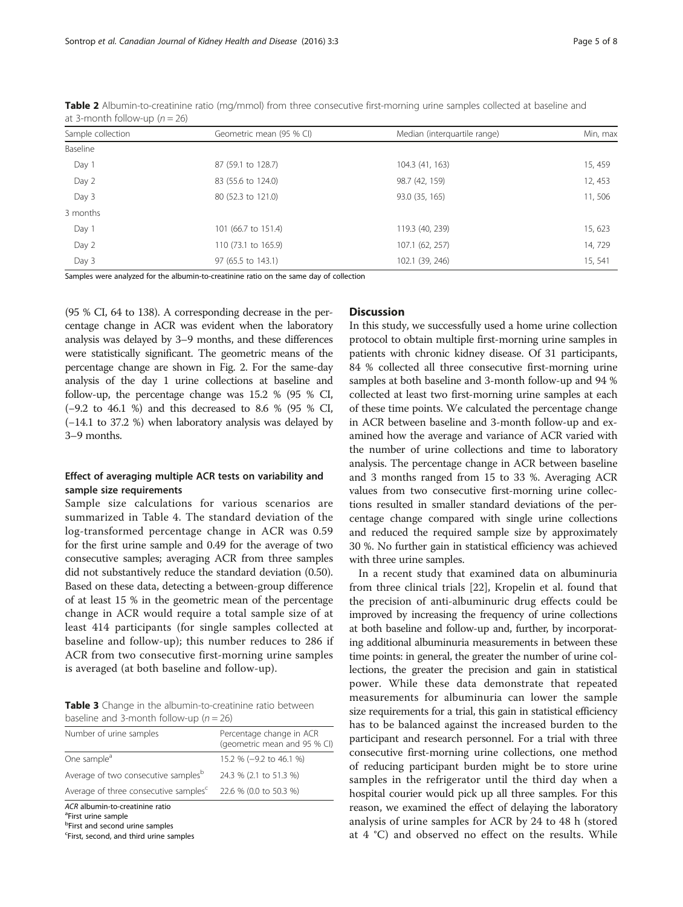| Sample collection | Median (interquartile range)<br>Geometric mean (95 % CI) |                 | Min, max |  |  |
|-------------------|----------------------------------------------------------|-----------------|----------|--|--|
| Baseline          |                                                          |                 |          |  |  |
| Day 1             | 87 (59.1 to 128.7)                                       | 104.3 (41, 163) | 15, 459  |  |  |
| Day 2             | 83 (55.6 to 124.0)                                       | 98.7 (42, 159)  | 12, 453  |  |  |
| Day 3             | 80 (52.3 to 121.0)                                       | 93.0 (35, 165)  | 11,506   |  |  |
| 3 months          |                                                          |                 |          |  |  |
| Day 1             | 101 (66.7 to 151.4)                                      | 119.3 (40, 239) | 15, 623  |  |  |
| Day 2             | 110 (73.1 to 165.9)                                      | 107.1 (62, 257) | 14, 729  |  |  |
| Day 3             | 97 (65.5 to 143.1)                                       | 102.1 (39, 246) | 15, 541  |  |  |
|                   |                                                          |                 |          |  |  |

<span id="page-4-0"></span>Table 2 Albumin-to-creatinine ratio (mg/mmol) from three consecutive first-morning urine samples collected at baseline and at 3-month follow-up ( $n = 26$ )

Samples were analyzed for the albumin-to-creatinine ratio on the same day of collection

(95 % CI, 64 to 138). A corresponding decrease in the percentage change in ACR was evident when the laboratory analysis was delayed by 3–9 months, and these differences were statistically significant. The geometric means of the percentage change are shown in Fig. [2.](#page-5-0) For the same-day analysis of the day 1 urine collections at baseline and follow-up, the percentage change was 15.2 % (95 % CI, (−9.2 to 46.1 %) and this decreased to 8.6 % (95 % CI, (−14.1 to 37.2 %) when laboratory analysis was delayed by 3–9 months.

## Effect of averaging multiple ACR tests on variability and sample size requirements

Sample size calculations for various scenarios are summarized in Table [4.](#page-6-0) The standard deviation of the log-transformed percentage change in ACR was 0.59 for the first urine sample and 0.49 for the average of two consecutive samples; averaging ACR from three samples did not substantively reduce the standard deviation (0.50). Based on these data, detecting a between-group difference of at least 15 % in the geometric mean of the percentage change in ACR would require a total sample size of at least 414 participants (for single samples collected at baseline and follow-up); this number reduces to 286 if ACR from two consecutive first-morning urine samples is averaged (at both baseline and follow-up).

Table 3 Change in the albumin-to-creatinine ratio between baseline and 3-month follow-up ( $n = 26$ )

| Number of urine samples                                                                                                                                                  | Percentage change in ACR<br>(geometric mean and 95 % CI) |
|--------------------------------------------------------------------------------------------------------------------------------------------------------------------------|----------------------------------------------------------|
| One sample <sup>a</sup>                                                                                                                                                  | 15.2 % (-9.2 to 46.1 %)                                  |
| Average of two consecutive samples <sup>b</sup>                                                                                                                          | 24.3 % (2.1 to 51.3 %)                                   |
| Average of three consecutive samples <sup>c</sup>                                                                                                                        | 22.6 % (0.0 to 50.3 %)                                   |
| ACR albumin-to-creatinine ratio<br><sup>a</sup> First urine sample<br><sup>b</sup> First and second urine samples<br><sup>c</sup> First, second, and third urine samples |                                                          |

#### **Discussion**

In this study, we successfully used a home urine collection protocol to obtain multiple first-morning urine samples in patients with chronic kidney disease. Of 31 participants, 84 % collected all three consecutive first-morning urine samples at both baseline and 3-month follow-up and 94 % collected at least two first-morning urine samples at each of these time points. We calculated the percentage change in ACR between baseline and 3-month follow-up and examined how the average and variance of ACR varied with the number of urine collections and time to laboratory analysis. The percentage change in ACR between baseline and 3 months ranged from 15 to 33 %. Averaging ACR values from two consecutive first-morning urine collections resulted in smaller standard deviations of the percentage change compared with single urine collections and reduced the required sample size by approximately 30 %. No further gain in statistical efficiency was achieved with three urine samples.

In a recent study that examined data on albuminuria from three clinical trials [[22](#page-7-0)], Kropelin et al. found that the precision of anti-albuminuric drug effects could be improved by increasing the frequency of urine collections at both baseline and follow-up and, further, by incorporating additional albuminuria measurements in between these time points: in general, the greater the number of urine collections, the greater the precision and gain in statistical power. While these data demonstrate that repeated measurements for albuminuria can lower the sample size requirements for a trial, this gain in statistical efficiency has to be balanced against the increased burden to the participant and research personnel. For a trial with three consecutive first-morning urine collections, one method of reducing participant burden might be to store urine samples in the refrigerator until the third day when a hospital courier would pick up all three samples. For this reason, we examined the effect of delaying the laboratory analysis of urine samples for ACR by 24 to 48 h (stored at 4 °C) and observed no effect on the results. While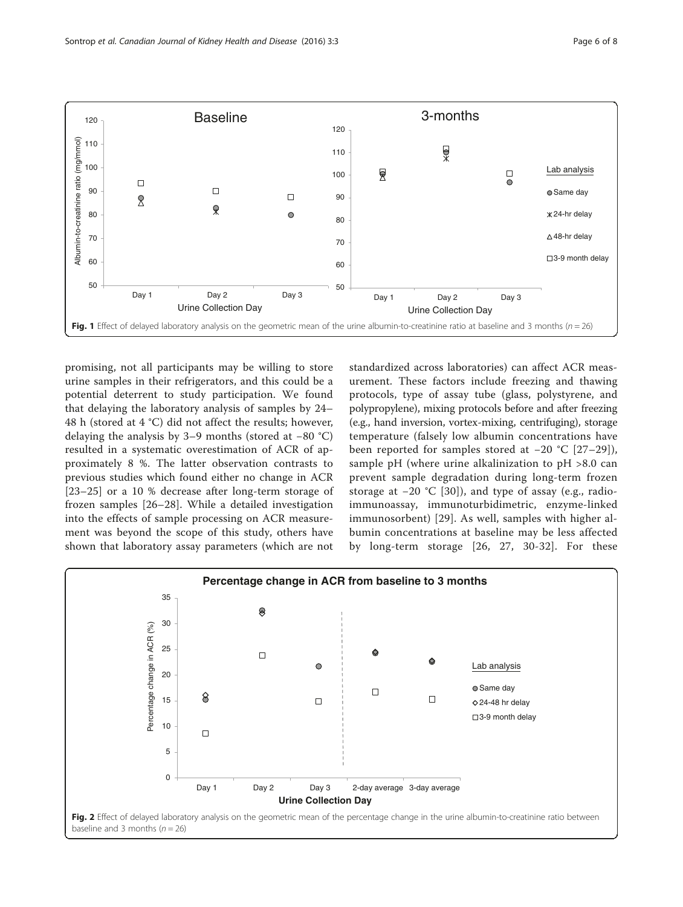<span id="page-5-0"></span>

promising, not all participants may be willing to store urine samples in their refrigerators, and this could be a potential deterrent to study participation. We found that delaying the laboratory analysis of samples by 24– 48 h (stored at 4 °C) did not affect the results; however, delaying the analysis by 3–9 months (stored at −80 °C) resulted in a systematic overestimation of ACR of approximately 8 %. The latter observation contrasts to previous studies which found either no change in ACR [[23](#page-7-0)–[25](#page-7-0)] or a 10 % decrease after long-term storage of frozen samples [\[26](#page-7-0)–[28](#page-7-0)]. While a detailed investigation into the effects of sample processing on ACR measurement was beyond the scope of this study, others have shown that laboratory assay parameters (which are not

standardized across laboratories) can affect ACR measurement. These factors include freezing and thawing protocols, type of assay tube (glass, polystyrene, and polypropylene), mixing protocols before and after freezing (e.g., hand inversion, vortex-mixing, centrifuging), storage temperature (falsely low albumin concentrations have been reported for samples stored at −20 °C [[27](#page-7-0)–[29\]](#page-7-0)), sample pH (where urine alkalinization to pH >8.0 can prevent sample degradation during long-term frozen storage at −20 °C [[30\]](#page-7-0)), and type of assay (e.g., radioimmunoassay, immunoturbidimetric, enzyme-linked immunosorbent) [[29\]](#page-7-0). As well, samples with higher albumin concentrations at baseline may be less affected by long-term storage [[26](#page-7-0), [27, 30-32](#page-7-0)]. For these

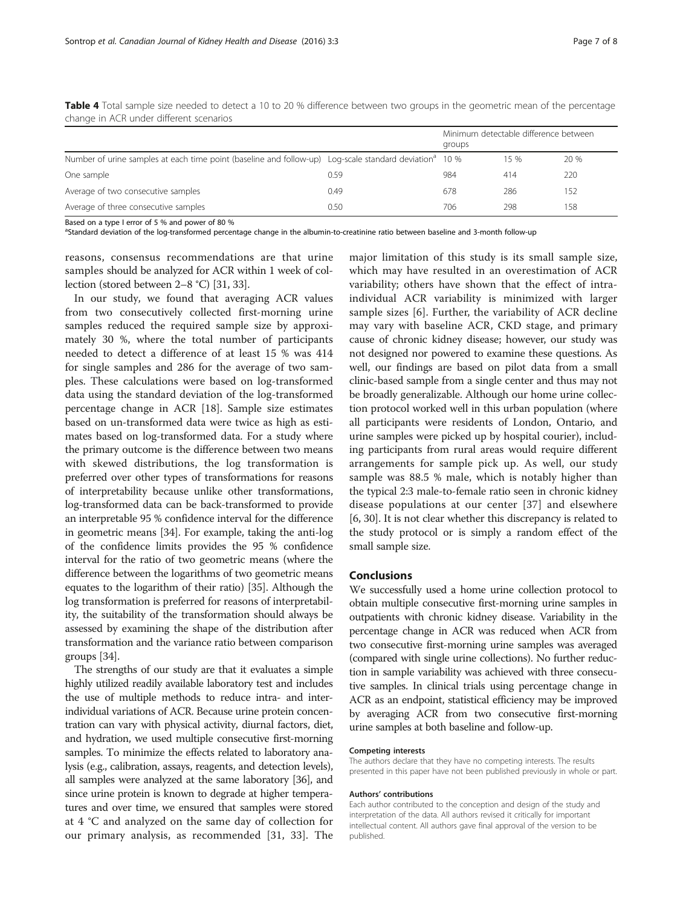| change in ACR under different scenarios                                                                            |      |                                                 |      |      |  |  |  |  |
|--------------------------------------------------------------------------------------------------------------------|------|-------------------------------------------------|------|------|--|--|--|--|
|                                                                                                                    |      | Minimum detectable difference between<br>groups |      |      |  |  |  |  |
| Number of urine samples at each time point (baseline and follow-up) Log-scale standard deviation <sup>a</sup> 10 % |      |                                                 | 15 % | 20 % |  |  |  |  |
| One sample                                                                                                         | 0.59 | 984                                             | 414  | 220  |  |  |  |  |
| Average of two consecutive samples                                                                                 | 0.49 | 678                                             | 286  | 152  |  |  |  |  |
| Average of three consecutive samples                                                                               | 0.50 | 706                                             | 298  | 158  |  |  |  |  |

<span id="page-6-0"></span>Table 4 Total sample size needed to detect a 10 to 20 % difference between two groups in the geometric mean of the percentage change in ACR under different scenarios

Based on a type I error of 5 % and power of 80 %

<sup>a</sup>Standard deviation of the log-transformed percentage change in the albumin-to-creatinine ratio between baseline and 3-month follow-up

reasons, consensus recommendations are that urine samples should be analyzed for ACR within 1 week of collection (stored between 2–8 °C) [[31](#page-7-0), [33\]](#page-7-0).

In our study, we found that averaging ACR values from two consecutively collected first-morning urine samples reduced the required sample size by approximately 30 %, where the total number of participants needed to detect a difference of at least 15 % was 414 for single samples and 286 for the average of two samples. These calculations were based on log-transformed data using the standard deviation of the log-transformed percentage change in ACR [[18\]](#page-7-0). Sample size estimates based on un-transformed data were twice as high as estimates based on log-transformed data. For a study where the primary outcome is the difference between two means with skewed distributions, the log transformation is preferred over other types of transformations for reasons of interpretability because unlike other transformations, log-transformed data can be back-transformed to provide an interpretable 95 % confidence interval for the difference in geometric means [[34](#page-7-0)]. For example, taking the anti-log of the confidence limits provides the 95 % confidence interval for the ratio of two geometric means (where the difference between the logarithms of two geometric means equates to the logarithm of their ratio) [\[35\]](#page-7-0). Although the log transformation is preferred for reasons of interpretability, the suitability of the transformation should always be assessed by examining the shape of the distribution after transformation and the variance ratio between comparison groups [[34](#page-7-0)].

The strengths of our study are that it evaluates a simple highly utilized readily available laboratory test and includes the use of multiple methods to reduce intra- and interindividual variations of ACR. Because urine protein concentration can vary with physical activity, diurnal factors, diet, and hydration, we used multiple consecutive first-morning samples. To minimize the effects related to laboratory analysis (e.g., calibration, assays, reagents, and detection levels), all samples were analyzed at the same laboratory [\[36\]](#page-7-0), and since urine protein is known to degrade at higher temperatures and over time, we ensured that samples were stored at 4 °C and analyzed on the same day of collection for our primary analysis, as recommended [[31](#page-7-0), [33](#page-7-0)]. The

major limitation of this study is its small sample size, which may have resulted in an overestimation of ACR variability; others have shown that the effect of intraindividual ACR variability is minimized with larger sample sizes [\[6](#page-7-0)]. Further, the variability of ACR decline may vary with baseline ACR, CKD stage, and primary cause of chronic kidney disease; however, our study was not designed nor powered to examine these questions. As well, our findings are based on pilot data from a small clinic-based sample from a single center and thus may not be broadly generalizable. Although our home urine collection protocol worked well in this urban population (where all participants were residents of London, Ontario, and urine samples were picked up by hospital courier), including participants from rural areas would require different arrangements for sample pick up. As well, our study sample was 88.5 % male, which is notably higher than the typical 2:3 male-to-female ratio seen in chronic kidney disease populations at our center [\[37](#page-7-0)] and elsewhere [[6, 30\]](#page-7-0). It is not clear whether this discrepancy is related to the study protocol or is simply a random effect of the small sample size.

#### Conclusions

We successfully used a home urine collection protocol to obtain multiple consecutive first-morning urine samples in outpatients with chronic kidney disease. Variability in the percentage change in ACR was reduced when ACR from two consecutive first-morning urine samples was averaged (compared with single urine collections). No further reduction in sample variability was achieved with three consecutive samples. In clinical trials using percentage change in ACR as an endpoint, statistical efficiency may be improved by averaging ACR from two consecutive first-morning urine samples at both baseline and follow-up.

#### Competing interests

The authors declare that they have no competing interests. The results presented in this paper have not been published previously in whole or part.

#### Authors' contributions

Each author contributed to the conception and design of the study and interpretation of the data. All authors revised it critically for important intellectual content. All authors gave final approval of the version to be published.